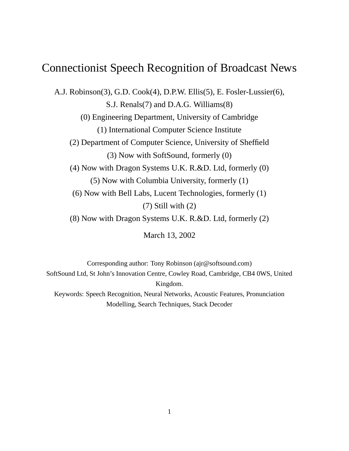# Connectionist Speech Recognition of Broadcast News

A.J. Robinson(3), G.D. Cook(4), D.P.W. Ellis(5), E. Fosler-Lussier(6), S.J. Renals(7) and D.A.G. Williams(8) (0) Engineering Department, University of Cambridge (1) International Computer Science Institute (2) Department of Computer Science, University of Sheffield (3) Now with SoftSound, formerly (0) (4) Now with Dragon Systems U.K. R.&D. Ltd, formerly (0) (5) Now with Columbia University, formerly (1) (6) Now with Bell Labs, Lucent Technologies, formerly (1) (7) Still with (2) (8) Now with Dragon Systems U.K. R.&D. Ltd, formerly (2)

March 13, 2002

Corresponding author: Tony Robinson (ajr@softsound.com) SoftSound Ltd, St John's Innovation Centre, Cowley Road, Cambridge, CB4 0WS, United Kingdom. Keywords: Speech Recognition, Neural Networks, Acoustic Features, Pronunciation Modelling, Search Techniques, Stack Decoder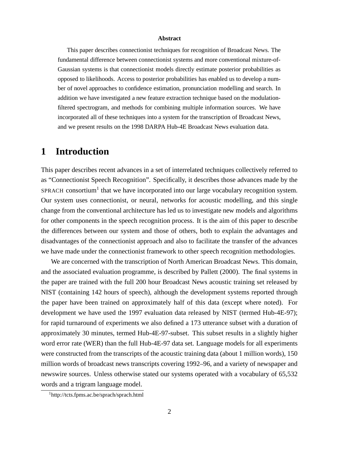#### **Abstract**

This paper describes connectionist techniques for recognition of Broadcast News. The fundamental difference between connectionist systems and more conventional mixture-of-Gaussian systems is that connectionist models directly estimate posterior probabilities as opposed to likelihoods. Access to posterior probabilities has enabled us to develop a number of novel approaches to confidence estimation, pronunciation modelling and search. In addition we have investigated a new feature extraction technique based on the modulationfiltered spectrogram, and methods for combining multiple information sources. We have incorporated all of these techniques into a system for the transcription of Broadcast News, and we present results on the 1998 DARPA Hub-4E Broadcast News evaluation data.

### **1 Introduction**

This paper describes recent advances in a set of interrelated techniques collectively referred to as "Connectionist Speech Recognition". Specifically, it describes those advances made by the SPRACH consortium<sup>1</sup> that we have incorporated into our large vocabulary recognition system. Our system uses connectionist, or neural, networks for acoustic modelling, and this single change from the conventional architecture has led us to investigate new models and algorithms for other components in the speech recognition process. It is the aim of this paper to describe the differences between our system and those of others, both to explain the advantages and disadvantages of the connectionist approach and also to facilitate the transfer of the advances we have made under the connectionist framework to other speech recognition methodologies.

We are concerned with the transcription of North American Broadcast News. This domain, and the associated evaluation programme, is described by Pallett (2000). The final systems in the paper are trained with the full 200 hour Broadcast News acoustic training set released by NIST (containing 142 hours of speech), although the development systems reported through the paper have been trained on approximately half of this data (except where noted). For development we have used the 1997 evaluation data released by NIST (termed Hub-4E-97); for rapid turnaround of experiments we also defined a 173 utterance subset with a duration of approximately 30 minutes, termed Hub-4E-97-subset. This subset results in a slightly higher word error rate (WER) than the full Hub-4E-97 data set. Language models for all experiments were constructed from the transcripts of the acoustic training data (about 1 million words), 150 million words of broadcast news transcripts covering 1992–96, and a variety of newspaper and newswire sources. Unless otherwise stated our systems operated with a vocabulary of 65,532 words and a trigram language model.

<sup>1</sup>http://tcts.fpms.ac.be/sprach/sprach.html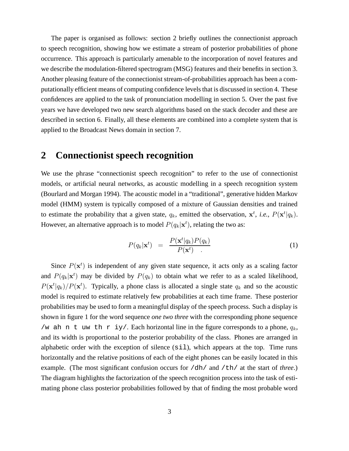The paper is organised as follows: section 2 briefly outlines the connectionist approach to speech recognition, showing how we estimate a stream of posterior probabilities of phone occurrence. This approach is particularly amenable to the incorporation of novel features and we describe the modulation-filtered spectrogram (MSG) features and their benefits in section 3. Another pleasing feature of the connectionist stream-of-probabilities approach has been a computationally efficient means of computing confidence levels that is discussed in section 4. These confidences are applied to the task of pronunciation modelling in section 5. Over the past five years we have developed two new search algorithms based on the stack decoder and these are described in section 6. Finally, all these elements are combined into a complete system that is applied to the Broadcast News domain in section 7.

### **2 Connectionist speech recognition**

We use the phrase "connectionist speech recognition" to refer to the use of connectionist models, or artificial neural networks, as acoustic modelling in a speech recognition system (Bourlard and Morgan 1994). The acoustic model in a "traditional", generative hidden Markov model (HMM) system is typically composed of a mixture of Gaussian densities and trained to estimate the probability that a given state,  $q_k$ , emitted the observation,  $\mathbf{x}^t$ , *i.e.*,  $P(\mathbf{x}^t | q_k)$ . However, an alternative approach is to model  $P(q_k|\mathbf{x}^t)$ , relating the two as:

$$
P(q_k|\mathbf{x}^t) = \frac{P(\mathbf{x}^t|q_k)P(q_k)}{P(\mathbf{x}^t)} \tag{1}
$$

Since  $P(\mathbf{x}^t)$  is independent of any given state sequence, it acts only as a scaling factor and  $P(q_k|\mathbf{x}^t)$  may be divided by  $P(q_k)$  to obtain what we refer to as a scaled likelihood,  $P(\mathbf{x}^t | q_k) / P(\mathbf{x}^t)$ . Typically, a phone class is allocated a single state  $q_k$  and so the acoustic model is required to estimate relatively few probabilities at each time frame. These posterior probabilities may be used to form a meaningful display of the speech process. Such a display is shown in figure 1 for the word sequence *one two three* with the corresponding phone sequence /w ah n t uw th r iy/. Each horizontal line in the figure corresponds to a phone,  $q_k$ , and its width is proportional to the posterior probability of the class. Phones are arranged in alphabetic order with the exception of silence (sil), which appears at the top. Time runs horizontally and the relative positions of each of the eight phones can be easily located in this example. (The most significant confusion occurs for  $/dh/$  and  $/\text{th}/$  at the start of *three*.) The diagram highlights the factorization of the speech recognition process into the task of estimating phone class posterior probabilities followed by that of finding the most probable word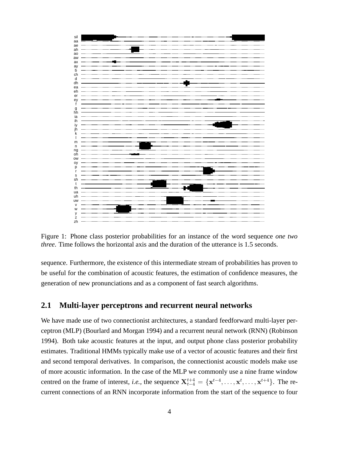

Figure 1: Phone class posterior probabilities for an instance of the word sequence *one two three*. Time follows the horizontal axis and the duration of the utterance is 1.5 seconds.

sequence. Furthermore, the existence of this intermediate stream of probabilities has proven to be useful for the combination of acoustic features, the estimation of confidence measures, the generation of new pronunciations and as a component of fast search algorithms.

### **2.1 Multi-layer perceptrons and recurrent neural networks**

We have made use of two connectionist architectures, a standard feedforward multi-layer perceptron (MLP) (Bourlard and Morgan 1994) and a recurrent neural network (RNN) (Robinson 1994). Both take acoustic features at the input, and output phone class posterior probability estimates. Traditional HMMs typically make use of a vector of acoustic features and their first and second temporal derivatives. In comparison, the connectionist acoustic models make use of more acoustic information. In the case of the MLP we commonly use a nine frame window centred on the frame of interest, *i.e.*, the sequence  $X_{t-4}^{t+4} = \{x^{t-4}, \ldots, x^{t}, \ldots, x^{t+4}\}$ . The recurrent connections of an RNN incorporate information from the start of the sequence to four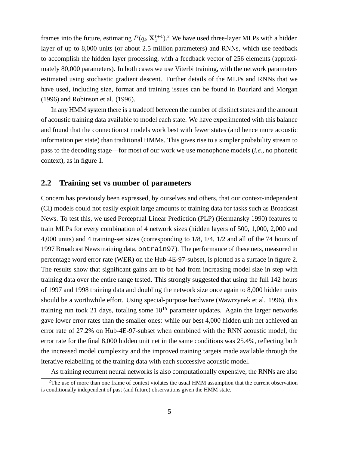frames into the future, estimating  $P(q_k|X_1^{t+4})$ .<sup>2</sup> We have used three-layer MLPs with a hidden layer of up to 8,000 units (or about 2.5 million parameters) and RNNs, which use feedback to accomplish the hidden layer processing, with a feedback vector of 256 elements (approximately 80,000 parameters). In both cases we use Viterbi training, with the network parameters estimated using stochastic gradient descent. Further details of the MLPs and RNNs that we have used, including size, format and training issues can be found in Bourlard and Morgan (1996) and Robinson et al. (1996).

In any HMM system there is a tradeoff between the number of distinct states and the amount of acoustic training data available to model each state. We have experimented with this balance and found that the connectionist models work best with fewer states (and hence more acoustic information per state) than traditional HMMs. This gives rise to a simpler probability stream to pass to the decoding stage—for most of our work we use monophone models (*i.e.,* no phonetic context), as in figure 1.

#### **2.2 Training set vs number of parameters**

Concern has previously been expressed, by ourselves and others, that our context-independent (CI) models could not easily exploit large amounts of training data for tasks such as Broadcast News. To test this, we used Perceptual Linear Prediction (PLP) (Hermansky 1990) features to train MLPs for every combination of 4 network sizes (hidden layers of 500, 1,000, 2,000 and 4,000 units) and 4 training-set sizes (corresponding to 1/8, 1/4, 1/2 and all of the 74 hours of 1997 Broadcast Newstraining data, bntrain97). The performance of these nets, measured in percentage word error rate (WER) on the Hub-4E-97-subset, is plotted as a surface in figure 2. The results show that significant gains are to be had from increasing model size in step with training data over the entire range tested. This strongly suggested that using the full 142 hours of 1997 and 1998 training data and doubling the network size once again to 8,000 hidden units should be a worthwhile effort. Using special-purpose hardware (Wawrzynek et al. 1996), this training run took 21 days, totaling some  $10^{15}$  parameter updates. Again the larger networks gave lower error rates than the smaller ones: while our best 4,000 hidden unit net achieved an error rate of 27.2% on Hub-4E-97-subset when combined with the RNN acoustic model, the error rate for the final 8,000 hidden unit net in the same conditions was 25.4%, reflecting both the increased model complexity and the improved training targets made available through the iterative relabelling of the training data with each successive acoustic model.

As training recurrent neural networks is also computationally expensive, the RNNs are also

 $2$ The use of more than one frame of context violates the usual HMM assumption that the current observation is conditionally independent of past (and future) observations given the HMM state.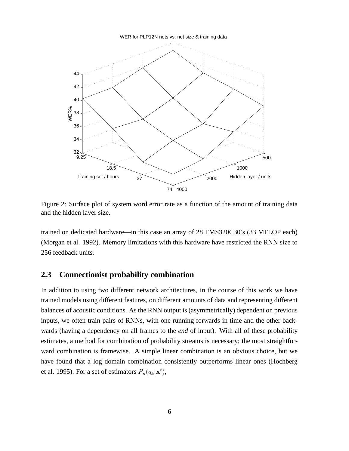WER for PLP12N nets vs. net size & training data



Figure 2: Surface plot of system word error rate as a function of the amount of training data and the hidden layer size.

trained on dedicated hardware—in this case an array of 28 TMS320C30's (33 MFLOP each) (Morgan et al. 1992). Memory limitations with this hardware have restricted the RNN size to 256 feedback units.

#### **2.3 Connectionist probability combination**

In addition to using two different network architectures, in the course of this work we have trained models using different features, on different amounts of data and representing different balances of acoustic conditions. As the RNN output is (asymmetrically) dependent on previous inputs, we often train pairs of RNNs, with one running forwards in time and the other backwards (having a dependency on all frames to the *end* of input). With all of these probability estimates, a method for combination of probability streams is necessary; the most straightforward combination is framewise. A simple linear combination is an obvious choice, but we have found that a log domain combination consistently outperforms linear ones (Hochberg et al. 1995). For a set of estimators  $P_n(q_k|\mathbf{x}^t)$ ,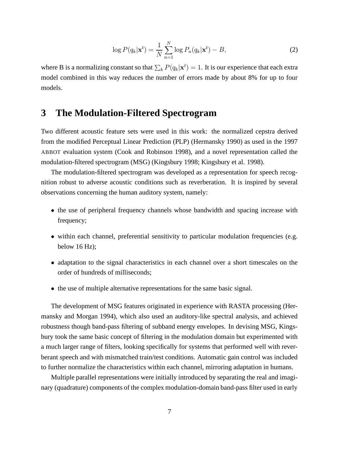$$
\log P(q_k|\mathbf{x}^t) = \frac{1}{N} \sum_{n=1}^{N} \log P_n(q_k|\mathbf{x}^t) - B,
$$
\n(2)

where B is a normalizing constant so that  $\sum_k P(q_k|\mathbf{x}^t) = 1$ . It is our experience that each extra model combined in this way reduces the number of errors made by about 8% for up to four models.

### **3 The Modulation-Filtered Spectrogram**

Two different acoustic feature sets were used in this work: the normalized cepstra derived from the modified Perceptual Linear Prediction (PLP) (Hermansky 1990) as used in the 1997 ABBOT evaluation system (Cook and Robinson 1998), and a novel representation called the modulation-filtered spectrogram (MSG) (Kingsbury 1998; Kingsbury et al. 1998).

The modulation-filtered spectrogram was developed as a representation for speech recognition robust to adverse acoustic conditions such as reverberation. It is inspired by several observations concerning the human auditory system, namely:

- the use of peripheral frequency channels whose bandwidth and spacing increase with frequency;
- within each channel, preferential sensitivity to particular modulation frequencies (e.g. below 16 Hz);
- adaptation to the signal characteristics in each channel over a short timescales on the order of hundreds of milliseconds;
- the use of multiple alternative representations for the same basic signal.

The development of MSG features originated in experience with RASTA processing (Hermansky and Morgan 1994), which also used an auditory-like spectral analysis, and achieved robustness though band-pass filtering of subband energy envelopes. In devising MSG, Kingsbury took the same basic concept of filtering in the modulation domain but experimented with a much larger range of filters, looking specifically for systems that performed well with reverberant speech and with mismatched train/test conditions. Automatic gain control was included to further normalize the characteristics within each channel, mirroring adaptation in humans.

Multiple parallel representations were initially introduced by separating the real and imaginary (quadrature) components of the complex modulation-domain band-pass filter used in early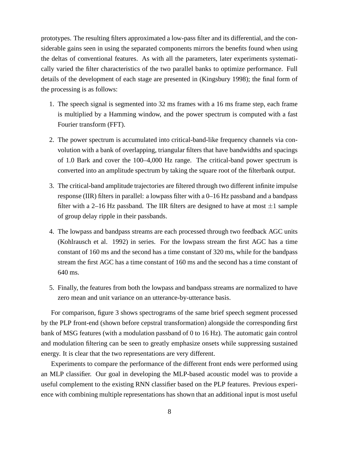prototypes. The resulting filters approximated a low-pass filter and its differential, and the considerable gains seen in using the separated components mirrors the benefits found when using the deltas of conventional features. As with all the parameters, later experiments systematically varied the filter characteristics of the two parallel banks to optimize performance. Full details of the development of each stage are presented in (Kingsbury 1998); the final form of the processing is as follows:

- 1. The speech signal is segmented into 32 ms frames with a 16 ms frame step, each frame is multiplied by a Hamming window, and the power spectrum is computed with a fast Fourier transform (FFT).
- 2. The power spectrum is accumulated into critical-band-like frequency channels via convolution with a bank of overlapping, triangular filters that have bandwidths and spacings of 1.0 Bark and cover the 100–4,000 Hz range. The critical-band power spectrum is converted into an amplitude spectrum by taking the square root of the filterbank output.
- 3. The critical-band amplitude trajectories are filtered through two different infinite impulse response (IIR) filters in parallel: a lowpass filter with a 0–16 Hz passband and a bandpass filter with a 2–16 Hz passband. The IIR filters are designed to have at most  $\pm 1$  sample of group delay ripple in their passbands.
- 4. The lowpass and bandpass streams are each processed through two feedback AGC units (Kohlrausch et al. 1992) in series. For the lowpass stream the first AGC has a time constant of 160 ms and the second has a time constant of 320 ms, while for the bandpass stream the first AGC has a time constant of 160 ms and the second has a time constant of 640 ms.
- 5. Finally, the features from both the lowpass and bandpass streams are normalized to have zero mean and unit variance on an utterance-by-utterance basis.

For comparison, figure 3 shows spectrograms of the same brief speech segment processed by the PLP front-end (shown before cepstral transformation) alongside the corresponding first bank of MSG features (with a modulation passband of 0 to 16 Hz). The automatic gain control and modulation filtering can be seen to greatly emphasize onsets while suppressing sustained energy. It is clear that the two representations are very different.

Experiments to compare the performance of the different front ends were performed using an MLP classifier. Our goal in developing the MLP-based acoustic model was to provide a useful complement to the existing RNN classifier based on the PLP features. Previous experience with combining multiple representations has shown that an additional input is most useful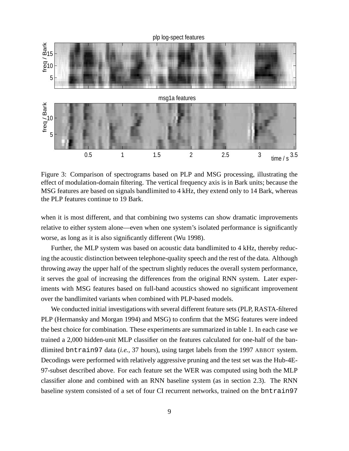

Figure 3: Comparison of spectrograms based on PLP and MSG processing, illustrating the effect of modulation-domain filtering. The vertical frequency axis is in Bark units; because the MSG features are based on signals bandlimited to 4 kHz, they extend only to 14 Bark, whereas the PLP features continue to 19 Bark.

when it is most different, and that combining two systems can show dramatic improvements relative to either system alone—even when one system's isolated performance is significantly worse, as long as it is also significantly different (Wu 1998).

Further, the MLP system was based on acoustic data bandlimited to 4 kHz, thereby reducing the acoustic distinction between telephone-quality speech and the rest of the data. Although throwing away the upper half of the spectrum slightly reduces the overall system performance, it serves the goal of increasing the differences from the original RNN system. Later experiments with MSG features based on full-band acoustics showed no significant improvement over the bandlimited variants when combined with PLP-based models.

We conducted initial investigations with several different feature sets (PLP, RASTA-filtered PLP (Hermansky and Morgan 1994) and MSG) to confirm that the MSG features were indeed the best choice for combination. These experiments are summarized in table 1. In each case we trained a 2,000 hidden-unit MLP classifier on the features calculated for one-half of the bandlimited bntrain97 data (*i.e.,* 37 hours), using target labels from the 1997 ABBOT system. Decodings were performed with relatively aggressive pruning and the test set was the Hub-4E-97-subset described above. For each feature set the WER was computed using both the MLP classifier alone and combined with an RNN baseline system (as in section 2.3). The RNN baseline system consisted of a set of four CI recurrent networks, trained on the bntrain97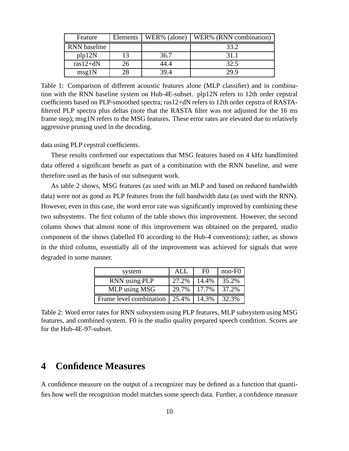| Feature      | Elements | $\vert$ WER% (alone) | WER% (RNN combination) |
|--------------|----------|----------------------|------------------------|
| RNN baseline |          |                      | 33.2                   |
| plp12N       | 13       | 36.7                 | 31.1                   |
| $ras12+dN$   | 26       | 44.4                 | 32.5                   |
| msg1N        | 28       | 39.4                 | 29.9                   |

Table 1: Comparison of different acoustic features alone (MLP classifier) and in combination with the RNN baseline system on Hub-4E-subset. plp12N refers to 12th order cepstral coefficients based on PLP-smoothed spectra; ras12+dN refers to 12th order cepstra of RASTAfiltered PLP spectra plus deltas (note that the RASTA filter was not adjusted for the 16 ms frame step); msg1N refers to the MSG features. These error rates are elevated due to relatively aggressive pruning used in the decoding.

data using PLP cepstral coefficients.

These results confirmed our expectations that MSG features based on 4 kHz bandlimited data offered a significant benefit as part of a combination with the RNN baseline, and were therefore used as the basis of our subsequent work.

As table 2 shows, MSG features (as used with an MLP and based on reduced bandwidth data) were not as good as PLP features from the full bandwidth data (as used with the RNN). However, even in this case, the word error rate was significantly improved by combining these two subsystems. The first column of the table shows this improvement. However, the second column shows that almost none of this improvement was obtained on the prepared, studio component of the shows (labelled F0 according to the Hub-4 conventions); rather, as shown in the third column, essentially all of the improvement was achieved for signals that were degraded in some manner.

| system                  | ALL   | F <sub>0</sub> | non-F0 |
|-------------------------|-------|----------------|--------|
| RNN using PLP           | 27.2% | 14.4%          | 35.2%  |
| MLP using MSG           | 29.7% | 17.7%          | 37.2%  |
| Frame level combination | 25.4% | 14.3%          | 32.3%  |

Table 2: Word error rates for RNN subsystem using PLP features, MLP subsystem using MSG features, and combined system. F0 is the studio quality prepared speech condition. Scores are for the Hub-4E-97-subset.

## **4 Confidence Measures**

A confidence measure on the output of a recognizer may be defined as a function that quantifies how well the recognition model matches some speech data. Further, a confidence measure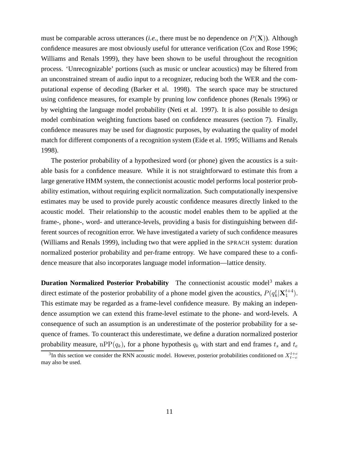must be comparable across utterances *(i.e.,* there must be no dependence on  $P(X)$ ). Although confidence measures are most obviously useful for utterance verification (Cox and Rose 1996; Williams and Renals 1999), they have been shown to be useful throughout the recognition process. 'Unrecognizable' portions (such as music or unclear acoustics) may be filtered from an unconstrained stream of audio input to a recognizer, reducing both the WER and the computational expense of decoding (Barker et al. 1998). The search space may be structured using confidence measures, for example by pruning low confidence phones (Renals 1996) or by weighting the language model probability (Neti et al. 1997). It is also possible to design model combination weighting functions based on confidence measures (section 7). Finally, confidence measures may be used for diagnostic purposes, by evaluating the quality of model match for different components of a recognition system (Eide et al. 1995; Williams and Renals 1998).

The posterior probability of a hypothesized word (or phone) given the acoustics is a suitable basis for a confidence measure. While it is not straightforward to estimate this from a large generative HMM system, the connectionist acoustic model performs local posterior probability estimation, without requiring explicit normalization. Such computationally inexpensive estimates may be used to provide purely acoustic confidence measures directly linked to the acoustic model. Their relationship to the acoustic model enables them to be applied at the frame-, phone-, word- and utterance-levels, providing a basis for distinguishing between different sources of recognition error. We have investigated a variety of such confidence measures (Williams and Renals 1999), including two that were applied in the SPRACH system: duration normalized posterior probability and per-frame entropy. We have compared these to a confidence measure that also incorporates language model information—lattice density.

**Duration Normalized Posterior Probability** The connectionist acoustic model<sup>3</sup> makes a direct estimate of the posterior probability of a phone model given the acoustics,  $P(q_k^t|\mathbf{X}_1^{t+4})$ . This estimate may be regarded as a frame-level confidence measure. By making an independence assumption we can extend this frame-level estimate to the phone- and word-levels. A consequence of such an assumption is an underestimate of the posterior probability for a sequence of frames. To counteract this underestimate, we define a duration normalized posterior probability measure, nPP( $q_k$ ), for a phone hypothesis  $q_k$  with start and end frames  $t_s$  and  $t_e$ 

<sup>&</sup>lt;sup>3</sup>In this section we consider the RNN acoustic model. However, posterior probabilities conditioned on  $X_{t-c}^{t+c}$ may also be used.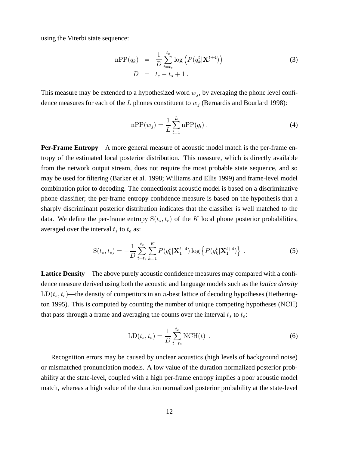using the Viterbi state sequence:

$$
nPP(q_k) = \frac{1}{D} \sum_{t=t_s}^{t_e} \log \left( P(q_k^t | \mathbf{X}_1^{t+4}) \right)
$$
  

$$
D = t_e - t_s + 1.
$$
 (3)

This measure may be extended to a hypothesized word  $w_j$ , by averaging the phone level confidence measures for each of the L phones constituent to  $w_j$  (Bernardis and Bourlard 1998):

$$
nPP(w_j) = \frac{1}{L} \sum_{l=1}^{L} nPP(q_l) .
$$
 (4)

**Per-Frame Entropy** A more general measure of acoustic model match is the per-frame entropy of the estimated local posterior distribution. This measure, which is directly available from the network output stream, does not require the most probable state sequence, and so may be used for filtering (Barker et al. 1998; Williams and Ellis 1999) and frame-level model combination prior to decoding. The connectionist acoustic model is based on a discriminative phone classifier; the per-frame entropy confidence measure is based on the hypothesis that a sharply discriminant posterior distribution indicates that the classifier is well matched to the data. We define the per-frame entropy  $S(t_s,t_e)$  of the K local phone posterior probabilities, averaged over the interval  $t_s$  to  $t_e$  as:

$$
S(t_s, t_e) = -\frac{1}{D} \sum_{t=t_s}^{t_e} \sum_{k=1}^{K} P(q_k^t | \mathbf{X}_1^{t+4}) \log \left\{ P(q_k^t | \mathbf{X}_1^{t+4}) \right\} \,. \tag{5}
$$

**Lattice Density** The above purely acoustic confidence measures may compared with a confidence measure derived using both the acoustic and language models such as the *lattice density*  $LD(t<sub>s</sub>, t<sub>e</sub>)$ —the density of competitors in an *n*-best lattice of decoding hypotheses (Hetherington 1995). This is computed by counting the number of unique competing hypotheses (NCH) that pass through a frame and averaging the counts over the interval  $t_s$  to  $t_e$ :

$$
LD(ts, te) = \frac{1}{D} \sum_{t=ts}^{te} NCH(t) .
$$
 (6)

Recognition errors may be caused by unclear acoustics (high levels of background noise) or mismatched pronunciation models. A low value of the duration normalized posterior probability at the state-level, coupled with a high per-frame entropy implies a poor acoustic model match, whereas a high value of the duration normalized posterior probability at the state-level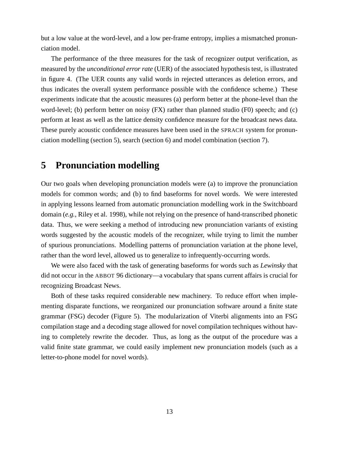but a low value at the word-level, and a low per-frame entropy, implies a mismatched pronunciation model.

The performance of the three measures for the task of recognizer output verification, as measured by the *unconditional error rate* (UER) of the associated hypothesis test, is illustrated in figure 4. (The UER counts any valid words in rejected utterances as deletion errors, and thus indicates the overall system performance possible with the confidence scheme.) These experiments indicate that the acoustic measures (a) perform better at the phone-level than the word-level; (b) perform better on noisy (FX) rather than planned studio (F0) speech; and (c) perform at least as well as the lattice density confidence measure for the broadcast news data. These purely acoustic confidence measures have been used in the SPRACH system for pronunciation modelling (section 5), search (section 6) and model combination (section 7).

### **5 Pronunciation modelling**

Our two goals when developing pronunciation models were (a) to improve the pronunciation models for common words; and (b) to find baseforms for novel words. We were interested in applying lessons learned from automatic pronunciation modelling work in the Switchboard domain (*e.g.,* Riley et al. 1998), while not relying on the presence of hand-transcribed phonetic data. Thus, we were seeking a method of introducing new pronunciation variants of existing words suggested by the acoustic models of the recognizer, while trying to limit the number of spurious pronunciations. Modelling patterns of pronunciation variation at the phone level, rather than the word level, allowed us to generalize to infrequently-occurring words.

We were also faced with the task of generating baseforms for words such as *Lewinsky* that did not occur in the ABBOT 96 dictionary—a vocabulary that spans current affairs is crucial for recognizing Broadcast News.

Both of these tasks required considerable new machinery. To reduce effort when implementing disparate functions, we reorganized our pronunciation software around a finite state grammar (FSG) decoder (Figure 5). The modularization of Viterbi alignments into an FSG compilation stage and a decoding stage allowed for novel compilation techniques without having to completely rewrite the decoder. Thus, as long as the output of the procedure was a valid finite state grammar, we could easily implement new pronunciation models (such as a letter-to-phone model for novel words).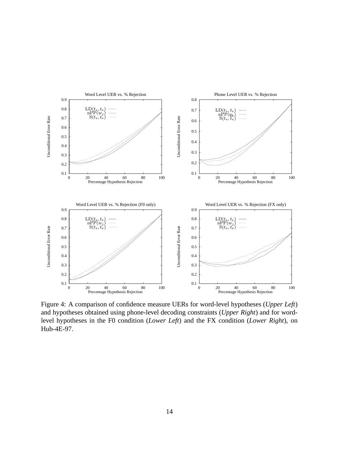

Figure 4: A comparison of confidence measure UERs for word-level hypotheses (*Upper Left*) and hypotheses obtained using phone-level decoding constraints (*Upper Right*) and for wordlevel hypotheses in the F0 condition (*Lower Left*) and the FX condition (*Lower Right*), on Hub-4E-97.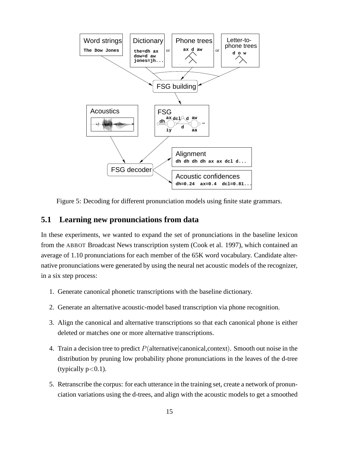

Figure 5: Decoding for different pronunciation models using finite state grammars.

#### **5.1 Learning new pronunciations from data**

In these experiments, we wanted to expand the set of pronunciations in the baseline lexicon from the ABBOT Broadcast News transcription system (Cook et al. 1997), which contained an average of 1.10 pronunciations for each member of the 65K word vocabulary. Candidate alternative pronunciations were generated by using the neural net acoustic models of the recognizer, in a six step process:

- 1. Generate canonical phonetic transcriptions with the baseline dictionary.
- 2. Generate an alternative acoustic-model based transcription via phone recognition.
- 3. Align the canonical and alternative transcriptions so that each canonical phone is either deleted or matches one or more alternative transcriptions.
- 4. Train a decision tree to predict  $P$ (alternative canonical, context). Smooth out noise in the distribution by pruning low probability phone pronunciations in the leaves of the d-tree (typically  $p<0.1$ ).
- 5. Retranscribe the corpus: for each utterance in the training set, create a network of pronunciation variations using the d-trees, and align with the acoustic models to get a smoothed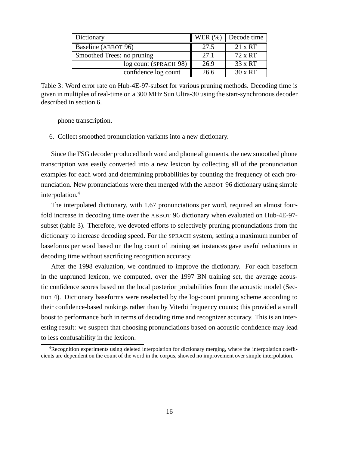| Dictionary                 | WER $(\% )$ | Decode time    |
|----------------------------|-------------|----------------|
| Baseline (ABBOT 96)        | 27.5        | $21 \times RT$ |
| Smoothed Trees: no pruning | 27.1        | 72 x RT        |
| log count (SPRACH 98)      | 26.9        | $33 \times RT$ |
| confidence log count       | 26.6        | $30 \times RT$ |

Table 3: Word error rate on Hub-4E-97-subset for various pruning methods. Decoding time is given in multiples of real-time on a 300 MHz Sun Ultra-30 using the start-synchronous decoder described in section 6.

phone transcription.

6. Collect smoothed pronunciation variants into a new dictionary.

Since the FSG decoder produced both word and phone alignments, the new smoothed phone transcription was easily converted into a new lexicon by collecting all of the pronunciation examples for each word and determining probabilities by counting the frequency of each pronunciation. New pronunciations were then merged with the ABBOT 96 dictionary using simple interpolation.<sup>4</sup>

The interpolated dictionary, with 1.67 pronunciations per word, required an almost fourfold increase in decoding time over the ABBOT 96 dictionary when evaluated on Hub-4E-97 subset (table 3). Therefore, we devoted efforts to selectively pruning pronunciations from the dictionary to increase decoding speed. For the SPRACH system, setting a maximum number of baseforms per word based on the log count of training set instances gave useful reductions in decoding time without sacrificing recognition accuracy.

After the 1998 evaluation, we continued to improve the dictionary. For each baseform in the unpruned lexicon, we computed, over the 1997 BN training set, the average acoustic confidence scores based on the local posterior probabilities from the acoustic model (Section 4). Dictionary baseforms were reselected by the log-count pruning scheme according to their confidence-based rankings rather than by Viterbi frequency counts; this provided a small boost to performance both in terms of decoding time and recognizer accuracy. This is an interesting result: we suspect that choosing pronunciations based on acoustic confidence may lead to less confusability in the lexicon.

<sup>4</sup>Recognition experiments using deleted interpolation for dictionary merging, where the interpolation coefficients are dependent on the count of the word in the corpus, showed no improvement over simple interpolation.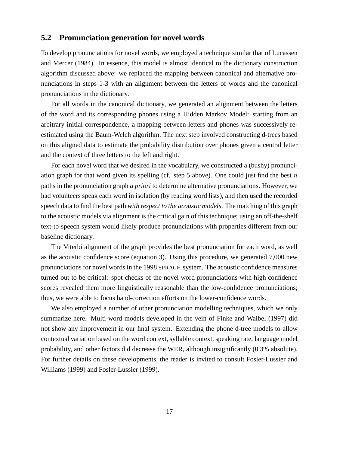#### **5.2 Pronunciation generation for novel words**

To develop pronunciations for novel words, we employed a technique similar that of Lucassen and Mercer (1984). In essence, this model is almost identical to the dictionary construction algorithm discussed above: we replaced the mapping between canonical and alternative pronunciations in steps 1-3 with an alignment between the letters of words and the canonical pronunciations in the dictionary.

For all words in the canonical dictionary, we generated an alignment between the letters of the word and its corresponding phones using a Hidden Markov Model: starting from an arbitrary initial correspondence, a mapping between letters and phones was successively reestimated using the Baum-Welch algorithm. The next step involved constructing d-trees based on this aligned data to estimate the probability distribution over phones given a central letter and the context of three letters to the left and right.

For each novel word that we desired in the vocabulary, we constructed a (bushy) pronunciation graph for that word given its spelling (cf. step 5 above). One could just find the best  $n$ paths in the pronunciation graph *a priori* to determine alternative pronunciations. However, we had volunteers speak each word in isolation (by reading word lists), and then used the recorded speech data to find the best path *with respect to the acoustic models*. The matching of this graph to the acoustic models via alignment is the critical gain of this technique; using an off-the-shelf text-to-speech system would likely produce pronunciations with properties different from our baseline dictionary.

The Viterbi alignment of the graph provides the best pronunciation for each word, as well as the acoustic confidence score (equation 3). Using this procedure, we generated 7,000 new pronunciations for novel words in the 1998 SPRACH system. The acoustic confidence measures turned out to be critical: spot checks of the novel word pronunciations with high confidence scores revealed them more linguistically reasonable than the low-confidence pronunciations; thus, we were able to focus hand-correction efforts on the lower-confidence words.

We also employed a number of other pronunciation modelling techniques, which we only summarize here. Multi-word models developed in the vein of Finke and Waibel (1997) did not show any improvement in our final system. Extending the phone d-tree models to allow contextual variation based on the word context, syllable context, speaking rate, language model probability, and other factors did decrease the WER, although insignificantly (0.3% absolute). For further details on these developments, the reader is invited to consult Fosler-Lussier and Williams (1999) and Fosler-Lussier (1999).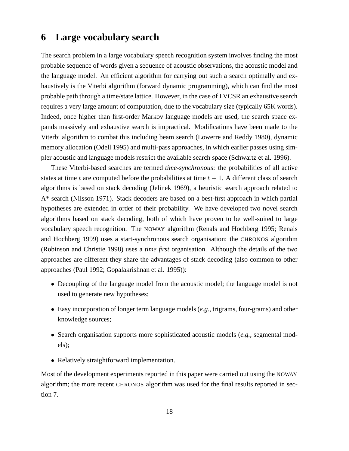### **6 Large vocabulary search**

The search problem in a large vocabulary speech recognition system involves finding the most probable sequence of words given a sequence of acoustic observations, the acoustic model and the language model. An efficient algorithm for carrying out such a search optimally and exhaustively is the Viterbi algorithm (forward dynamic programming), which can find the most probable path through a time/state lattice. However, in the case of LVCSR an exhaustive search requires a very large amount of computation, due to the vocabulary size (typically 65K words). Indeed, once higher than first-order Markov language models are used, the search space expands massively and exhaustive search is impractical. Modifications have been made to the Viterbi algorithm to combat this including beam search (Lowerre and Reddy 1980), dynamic memory allocation (Odell 1995) and multi-pass approaches, in which earlier passes using simpler acoustic and language models restrict the available search space (Schwartz et al. 1996).

These Viterbi-based searches are termed *time-synchronous*: the probabilities of all active states at time t are computed before the probabilities at time  $t + 1$ . A different class of search algorithms is based on stack decoding (Jelinek 1969), a heuristic search approach related to A\* search (Nilsson 1971). Stack decoders are based on a best-first approach in which partial hypotheses are extended in order of their probability. We have developed two novel search algorithms based on stack decoding, both of which have proven to be well-suited to large vocabulary speech recognition. The NOWAY algorithm (Renals and Hochberg 1995; Renals and Hochberg 1999) uses a start-synchronous search organisation; the CHRONOS algorithm (Robinson and Christie 1998) uses a *time first* organisation. Although the details of the two approaches are different they share the advantages of stack decoding (also common to other approaches (Paul 1992; Gopalakrishnan et al. 1995)):

- Decoupling of the language model from the acoustic model; the language model is not used to generate new hypotheses;
- Easy incorporation of longer term language models (*e.g.,* trigrams, four-grams) and other knowledge sources;
- Search organisation supports more sophisticated acoustic models (*e.g.,* segmental models);
- Relatively straightforward implementation.

Most of the development experiments reported in this paper were carried out using the NOWAY algorithm; the more recent CHRONOS algorithm was used for the final results reported in section 7.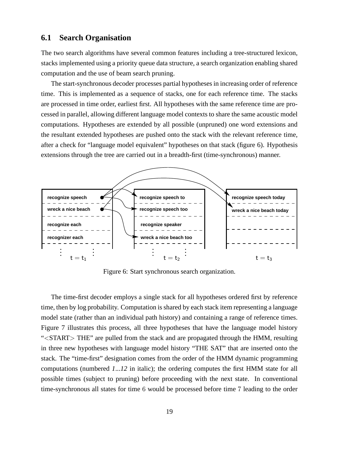#### **6.1 Search Organisation**

The two search algorithms have several common features including a tree-structured lexicon, stacks implemented using a priority queue data structure, a search organization enabling shared computation and the use of beam search pruning.

The start-synchronous decoder processes partial hypothesesin increasing order of reference time. This is implemented as a sequence of stacks, one for each reference time. The stacks are processed in time order, earliest first. All hypotheses with the same reference time are processed in parallel, allowing different language model contexts to share the same acoustic model computations. Hypotheses are extended by all possible (unpruned) one word extensions and the resultant extended hypotheses are pushed onto the stack with the relevant reference time, after a check for "language model equivalent" hypotheses on that stack (figure 6). Hypothesis extensions through the tree are carried out in a breadth-first (time-synchronous) manner.



Figure 6: Start synchronous search organization.

The time-first decoder employs a single stack for all hypotheses ordered first by reference time, then by log probability. Computation isshared by each stack item representing a language model state (rather than an individual path history) and containing a range of reference times. Figure 7 illustrates this process, all three hypotheses that have the language model history "<START> THE" are pulled from the stack and are propagated through the HMM, resulting in three new hypotheses with language model history "THE SAT" that are inserted onto the stack. The "time-first" designation comes from the order of the HMM dynamic programming computations (numbered *1*...*12* in italic); the ordering computes the first HMM state for all possible times (subject to pruning) before proceeding with the next state. In conventional time-synchronous all states for time 6 would be processed before time 7 leading to the order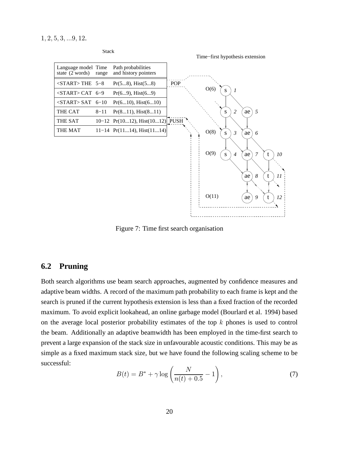1, 2, 5, 3, ...9, 12.



Figure 7: Time first search organisation

#### **6.2 Pruning**

Both search algorithms use beam search approaches, augmented by confidence measures and adaptive beam widths. A record of the maximum path probability to each frame is kept and the search is pruned if the current hypothesis extension is less than a fixed fraction of the recorded maximum. To avoid explicit lookahead, an online garbage model (Bourlard et al. 1994) based on the average local posterior probability estimates of the top  $k$  phones is used to control the beam. Additionally an adaptive beamwidth has been employed in the time-first search to prevent a large expansion of the stack size in unfavourable acoustic conditions. This may be as simple as a fixed maximum stack size, but we have found the following scaling scheme to be successful:

$$
B(t) = B^* + \gamma \log \left( \frac{N}{n(t) + 0.5} - 1 \right),
$$
 (7)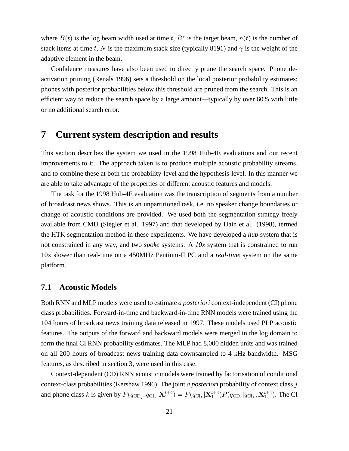where  $B(t)$  is the log beam width used at time t,  $B^*$  is the target beam,  $n(t)$  is the number of stack items at time t, N is the maximum stack size (typically 8191) and  $\gamma$  is the weight of the adaptive element in the beam.

Confidence measures have also been used to directly prune the search space. Phone deactivation pruning (Renals 1996) sets a threshold on the local posterior probability estimates: phones with posterior probabilities below this threshold are pruned from the search. This is an efficient way to reduce the search space by a large amount—typically by over 60% with little or no additional search error.

### **7 Current system description and results**

This section describes the system we used in the 1998 Hub-4E evaluations and our recent improvements to it. The approach taken is to produce multiple acoustic probability streams, and to combine these at both the probability-level and the hypothesis-level. In this manner we are able to take advantage of the properties of different acoustic features and models.

The task for the 1998 Hub-4E evaluation was the transcription of segments from a number of broadcast news shows. This is an unpartitioned task, i.e. no speaker change boundaries or change of acoustic conditions are provided. We used both the segmentation strategy freely available from CMU (Siegler et al. 1997) and that developed by Hain et al. (1998), termed the HTK segmentation method in these experiments. We have developed a *hub* system that is not constrained in any way, and two *spoke* systems: A *10x* system that is constrained to run 10x slower than real-time on a 450MHz Pentium-II PC and a *real-time* system on the same platform.

#### **7.1 Acoustic Models**

Both RNN and MLP models were used to estimate *a posteriori* context-independent (CI) phone class probabilities. Forward-in-time and backward-in-time RNN models were trained using the 104 hours of broadcast news training data released in 1997. These models used PLP acoustic features. The outputs of the forward and backward models were merged in the log domain to form the final CI RNN probability estimates. The MLP had 8,000 hidden units and was trained on all 200 hours of broadcast news training data downsampled to 4 kHz bandwidth. MSG features, as described in section 3, were used in this case.

Context-dependent (CD) RNN acoustic models were trained by factorisation of conditional context-class probabilities (Kershaw 1996). The joint *a posteriori* probability of context class j and phone class k is given by  $P(q_{CD_j}, q_{CL_k} | \mathbf{X}_1^{t+4}) = P(q_{CL_k} | \mathbf{X}_1^{t+4}) P(q_{CD_j} | q_{CL_k}, \mathbf{X}_1^{t+4})$ . The CI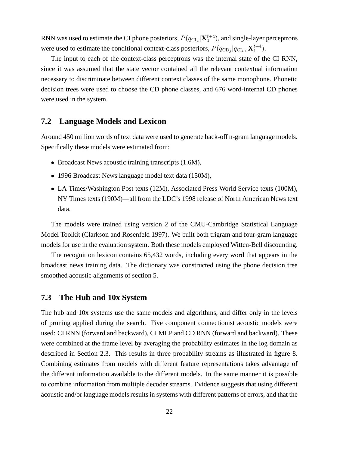RNN was used to estimate the CI phone posteriors,  $P(q_{\text{CI}_k}|\mathbf{X}_1^{t+4})$ , and single-layer perceptrons were used to estimate the conditional context-class posteriors,  $P(q_{CD_j}|q_{CL_k}, \mathbf{X}_1^{t+4})$ .

The input to each of the context-class perceptrons was the internal state of the CI RNN, since it was assumed that the state vector contained all the relevant contextual information necessary to discriminate between different context classes of the same monophone. Phonetic decision trees were used to choose the CD phone classes, and 676 word-internal CD phones were used in the system.

#### **7.2 Language Models and Lexicon**

Around 450 million words of text data were used to generate back-off n-gram language models. Specifically these models were estimated from:

- Broadcast News acoustic training transcripts (1.6M),
- 1996 Broadcast News language model text data (150M),
- LA Times/Washington Post texts (12M), Associated Press World Service texts (100M), NY Times texts (190M)—all from the LDC's 1998 release of North American News text data.

The models were trained using version 2 of the CMU-Cambridge Statistical Language Model Toolkit (Clarkson and Rosenfeld 1997). We built both trigram and four-gram language models for use in the evaluation system. Both these models employed Witten-Bell discounting.

The recognition lexicon contains 65,432 words, including every word that appears in the broadcast news training data. The dictionary was constructed using the phone decision tree smoothed acoustic alignments of section 5.

#### **7.3 The Hub and 10x System**

The hub and 10x systems use the same models and algorithms, and differ only in the levels of pruning applied during the search. Five component connectionist acoustic models were used: CI RNN (forward and backward), CI MLP and CD RNN (forward and backward). These were combined at the frame level by averaging the probability estimates in the log domain as described in Section 2.3. This results in three probability streams as illustrated in figure 8. Combining estimates from models with different feature representations takes advantage of the different information available to the different models. In the same manner it is possible to combine information from multiple decoder streams. Evidence suggests that using different acoustic and/or language models results in systems with different patterns of errors, and that the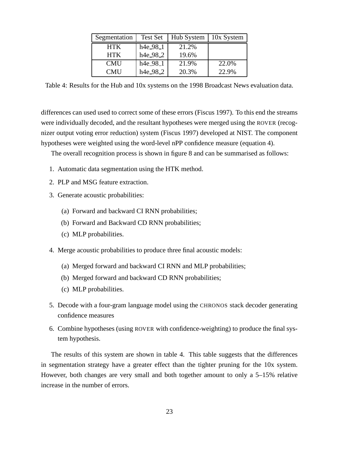| Segmentation | Test Set              | Hub System | 10x System |
|--------------|-----------------------|------------|------------|
| <b>HTK</b>   | h <sub>4</sub> e_98_1 | 21.2%      |            |
| <b>HTK</b>   | h4e_98_2              | 19.6%      |            |
| <b>CMU</b>   | $h4e_98_1$            | 21.9%      | 22.0%      |
| <b>CMU</b>   | h4e_98_2              | 20.3%      | 22.9%      |

Table 4: Results for the Hub and 10x systems on the 1998 Broadcast News evaluation data.

differences can used used to correct some of these errors (Fiscus 1997). To this end the streams were individually decoded, and the resultant hypotheses were merged using the ROVER (recognizer output voting error reduction) system (Fiscus 1997) developed at NIST. The component hypotheses were weighted using the word-level nPP confidence measure (equation 4).

The overall recognition process is shown in figure 8 and can be summarised as follows:

- 1. Automatic data segmentation using the HTK method.
- 2. PLP and MSG feature extraction.
- 3. Generate acoustic probabilities:
	- (a) Forward and backward CI RNN probabilities;
	- (b) Forward and Backward CD RNN probabilities;
	- (c) MLP probabilities.
- 4. Merge acoustic probabilities to produce three final acoustic models:
	- (a) Merged forward and backward CI RNN and MLP probabilities;
	- (b) Merged forward and backward CD RNN probabilities;
	- (c) MLP probabilities.
- 5. Decode with a four-gram language model using the CHRONOS stack decoder generating confidence measures
- 6. Combine hypotheses (using ROVER with confidence-weighting) to produce the final system hypothesis.

The results of this system are shown in table 4. This table suggests that the differences in segmentation strategy have a greater effect than the tighter pruning for the 10x system. However, both changes are very small and both together amount to only a 5–15% relative increase in the number of errors.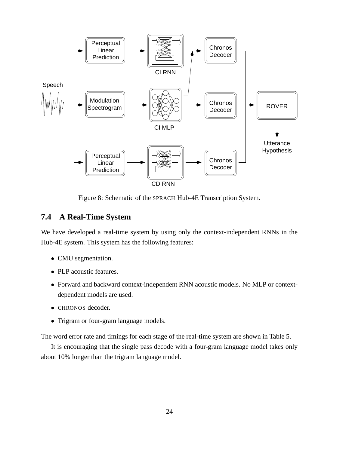

Figure 8: Schematic of the SPRACH Hub-4E Transcription System.

### **7.4 A Real-Time System**

We have developed a real-time system by using only the context-independent RNNs in the Hub-4E system. This system has the following features:

- CMU segmentation.
- PLP acoustic features.
- Forward and backward context-independent RNN acoustic models. No MLP or contextdependent models are used.
- CHRONOS decoder.
- Trigram or four-gram language models.

The word error rate and timings for each stage of the real-time system are shown in Table 5.

It is encouraging that the single pass decode with a four-gram language model takes only about 10% longer than the trigram language model.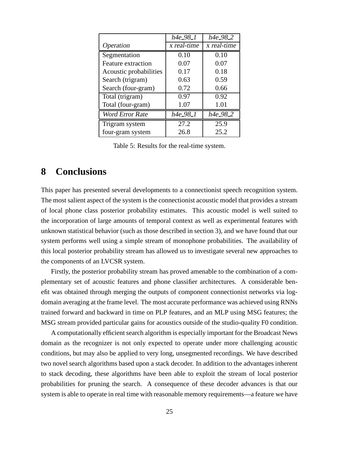|                        | h4e_98_1    | $h4e_98_2$  |
|------------------------|-------------|-------------|
| Operation              | x real-time | x real-time |
| Segmentation           | 0.10        | 0.10        |
| Feature extraction     | 0.07        | 0.07        |
| Acoustic probabilities | 0.17        | 0.18        |
| Search (trigram)       | 0.63        | 0.59        |
| Search (four-gram)     | 0.72        | 0.66        |
| Total (trigram)        | 0.97        | 0.92        |
| Total (four-gram)      | 1.07        | 1.01        |
| <b>Word Error Rate</b> | h4e_98_1    | h4e_98_2    |
| Trigram system         | 27.2        | 25.9        |
| four-gram system       | 26.8        | 25.2        |

Table 5: Results for the real-time system.

### **8 Conclusions**

This paper has presented several developments to a connectionist speech recognition system. The most salient aspect of the system is the connectionist acoustic model that provides a stream of local phone class posterior probability estimates. This acoustic model is well suited to the incorporation of large amounts of temporal context as well as experimental features with unknown statistical behavior (such as those described in section 3), and we have found that our system performs well using a simple stream of monophone probabilities. The availability of this local posterior probability stream has allowed us to investigate several new approaches to the components of an LVCSR system.

Firstly, the posterior probability stream has proved amenable to the combination of a complementary set of acoustic features and phone classifier architectures. A considerable benefit was obtained through merging the outputs of component connectionist networks via logdomain averaging at the frame level. The most accurate performance was achieved using RNNs trained forward and backward in time on PLP features, and an MLP using MSG features; the MSG stream provided particular gains for acoustics outside of the studio-quality F0 condition.

A computationally efficient search algorithm is especially important for the Broadcast News domain as the recognizer is not only expected to operate under more challenging acoustic conditions, but may also be applied to very long, unsegmented recordings. We have described two novel search algorithms based upon a stack decoder. In addition to the advantages inherent to stack decoding, these algorithms have been able to exploit the stream of local posterior probabilities for pruning the search. A consequence of these decoder advances is that our system is able to operate in real time with reasonable memory requirements—a feature we have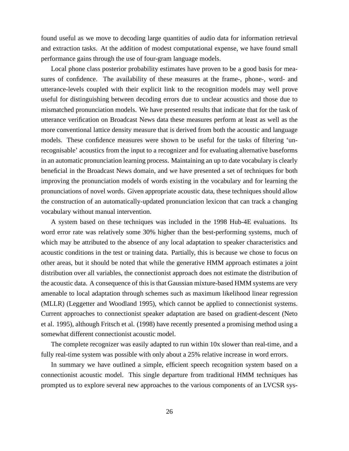found useful as we move to decoding large quantities of audio data for information retrieval and extraction tasks. At the addition of modest computational expense, we have found small performance gains through the use of four-gram language models.

Local phone class posterior probability estimates have proven to be a good basis for measures of confidence. The availability of these measures at the frame-, phone-, word- and utterance-levels coupled with their explicit link to the recognition models may well prove useful for distinguishing between decoding errors due to unclear acoustics and those due to mismatched pronunciation models. We have presented results that indicate that for the task of utterance verification on Broadcast News data these measures perform at least as well as the more conventional lattice density measure that is derived from both the acoustic and language models. These confidence measures were shown to be useful for the tasks of filtering 'unrecognisable' acoustics from the input to a recognizer and for evaluating alternative baseforms in an automatic pronunciation learning process. Maintaining an up to date vocabulary is clearly beneficial in the Broadcast News domain, and we have presented a set of techniques for both improving the pronunciation models of words existing in the vocabulary and for learning the pronunciations of novel words. Given appropriate acoustic data, these techniques should allow the construction of an automatically-updated pronunciation lexicon that can track a changing vocabulary without manual intervention.

A system based on these techniques was included in the 1998 Hub-4E evaluations. Its word error rate was relatively some 30% higher than the best-performing systems, much of which may be attributed to the absence of any local adaptation to speaker characteristics and acoustic conditions in the test or training data. Partially, this is because we chose to focus on other areas, but it should be noted that while the generative HMM approach estimates a joint distribution over all variables, the connectionist approach does not estimate the distribution of the acoustic data. A consequence of this is that Gaussian mixture-based HMM systems are very amenable to local adaptation through schemes such as maximum likelihood linear regression (MLLR) (Leggetter and Woodland 1995), which cannot be applied to connectionist systems. Current approaches to connectionist speaker adaptation are based on gradient-descent (Neto et al. 1995), although Fritsch et al. (1998) have recently presented a promising method using a somewhat different connectionist acoustic model.

The complete recognizer was easily adapted to run within 10x slower than real-time, and a fully real-time system was possible with only about a 25% relative increase in word errors.

In summary we have outlined a simple, efficient speech recognition system based on a connectionist acoustic model. This single departure from traditional HMM techniques has prompted us to explore several new approaches to the various components of an LVCSR sys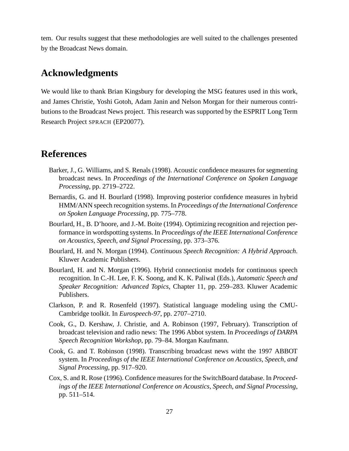tem. Our results suggest that these methodologies are well suited to the challenges presented by the Broadcast News domain.

# **Acknowledgments**

We would like to thank Brian Kingsbury for developing the MSG features used in this work, and James Christie, Yoshi Gotoh, Adam Janin and Nelson Morgan for their numerous contributions to the Broadcast News project. This research was supported by the ESPRIT Long Term Research Project SPRACH (EP20077).

### **References**

- Barker, J., G. Williams, and S. Renals (1998). Acoustic confidence measures for segmenting broadcast news. In *Proceedings of the International Conference on Spoken Language Processing*, pp. 2719–2722.
- Bernardis, G. and H. Bourlard (1998). Improving posterior confidence measures in hybrid HMM/ANN speech recognition systems. In *Proceedings of the International Conference on Spoken Language Processing*, pp. 775–778.
- Bourlard, H., B. D'hoore, and J.-M. Boite (1994). Optimizing recognition and rejection performance in wordspotting systems. In *Proceedings of the IEEE International Conference on Acoustics, Speech, and Signal Processing*, pp. 373–376.
- Bourlard, H. and N. Morgan (1994). *Continuous Speech Recognition: A Hybrid Approach*. Kluwer Academic Publishers.
- Bourlard, H. and N. Morgan (1996). Hybrid connectionist models for continuous speech recognition. In C.-H. Lee, F. K. Soong, and K. K. Paliwal (Eds.), *Automatic Speech and Speaker Recognition: Advanced Topics*, Chapter 11, pp. 259–283. Kluwer Academic Publishers.
- Clarkson, P. and R. Rosenfeld (1997). Statistical language modeling using the CMU-Cambridge toolkit. In *Eurospeech-97*, pp. 2707–2710.
- Cook, G., D. Kershaw, J. Christie, and A. Robinson (1997, February). Transcription of broadcast television and radio news: The 1996 Abbot system. In *Proceedings of DARPA Speech Recognition Workshop*, pp. 79–84. Morgan Kaufmann.
- Cook, G. and T. Robinson (1998). Transcribing broadcast news witht the 1997 ABBOT system. In *Proceedings of the IEEE International Conference on Acoustics, Speech, and Signal Processing*, pp. 917–920.
- Cox, S. and R. Rose (1996). Confidence measuresfor the SwitchBoard database. In *Proceedings of the IEEE International Conference on Acoustics, Speech, and Signal Processing*, pp. 511–514.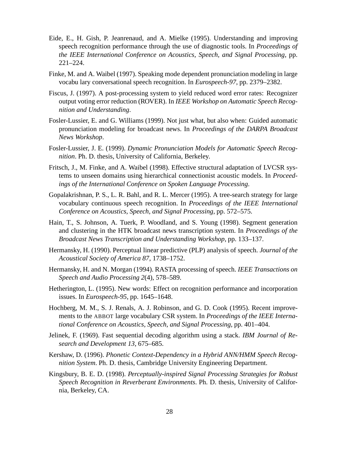- Eide, E., H. Gish, P. Jeanrenaud, and A. Mielke (1995). Understanding and improving speech recognition performance through the use of diagnostic tools. In *Proceedings of the IEEE International Conference on Acoustics, Speech, and Signal Processing*, pp. 221–224.
- Finke, M. and A. Waibel (1997). Speaking mode dependent pronunciation modeling in large vocabu lary conversational speech recognition. In *Eurospeech-97*, pp. 2379–2382.
- Fiscus, J. (1997). A post-processing system to yield reduced word error rates: Recognizer output voting error reduction (ROVER). In *IEEE Workshop on Automatic Speech Recognition and Understanding*.
- Fosler-Lussier, E. and G. Williams (1999). Not just what, but also when: Guided automatic pronunciation modeling for broadcast news. In *Proceedings of the DARPA Broadcast News Workshop*.
- Fosler-Lussier, J. E. (1999). *Dynamic Pronunciation Models for Automatic Speech Recognition*. Ph. D. thesis, University of California, Berkeley.
- Fritsch, J., M. Finke, and A. Waibel (1998). Effective structural adaptation of LVCSR systems to unseen domains using hierarchical connectionist acoustic models. In *Proceedings of the International Conference on Spoken Language Processing*.
- Gopalakrishnan, P. S., L. R. Bahl, and R. L. Mercer (1995). A tree-search strategy for large vocabulary continuous speech recognition. In *Proceedings of the IEEE International Conference on Acoustics, Speech, and Signal Processing*, pp. 572–575.
- Hain, T., S. Johnson, A. Tuerk, P. Woodland, and S. Young (1998). Segment generation and clustering in the HTK broadcast news transcription system. In *Proceedings of the Broadcast News Transcription and Understanding Workshop*, pp. 133–137.
- Hermansky, H. (1990). Perceptual linear predictive (PLP) analysis of speech. *Journal of the Acoustical Society of America 87*, 1738–1752.
- Hermansky, H. and N. Morgan (1994). RASTA processing of speech. *IEEE Transactions on Speech and Audio Processing 2*(4), 578–589.
- Hetherington, L. (1995). New words: Effect on recognition performance and incorporation issues. In *Eurospeech-95*, pp. 1645–1648.
- Hochberg, M. M., S. J. Renals, A. J. Robinson, and G. D. Cook (1995). Recent improvements to the ABBOT large vocabulary CSR system. In *Proceedings of the IEEE International Conference on Acoustics, Speech, and Signal Processing*, pp. 401–404.
- Jelinek, F. (1969). Fast sequential decoding algorithm using a stack. *IBM Journal of Research and Development 13*, 675–685.
- Kershaw, D. (1996). *Phonetic Context-Dependency in a Hybrid ANN/HMM Speech Recognition System*. Ph. D. thesis, Cambridge University Engineering Department.
- Kingsbury, B. E. D. (1998). *Perceptually-inspired Signal Processing Strategies for Robust Speech Recognition in Reverberant Environments*. Ph. D. thesis, University of California, Berkeley, CA.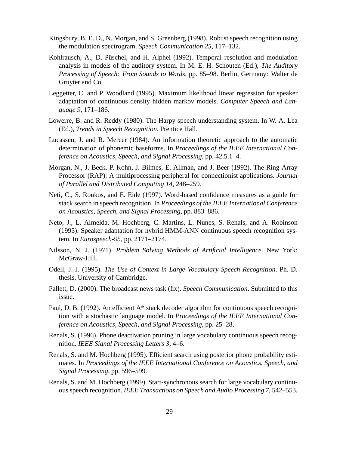- Kingsbury, B. E. D., N. Morgan, and S. Greenberg (1998). Robust speech recognition using the modulation spectrogram. *Speech Communication 25*, 117–132.
- Kohlrausch, A., D. Püschel, and H. Alphei (1992). Temporal resolution and modulation analysis in models of the auditory system. In M. E. H. Schouten (Ed.), *The Auditory Processing of Speech: From Sounds to Words*, pp. 85–98. Berlin, Germany: Walter de Gruyter and Co.
- Leggetter, C. and P. Woodland (1995). Maximum likelihood linear regression for speaker adaptation of continuous density hidden markov models. *Computer Speech and Language 9*, 171–186.
- Lowerre, B. and R. Reddy (1980). The Harpy speech understanding system. In W. A. Lea (Ed.), *Trends in Speech Recognition*. Prentice Hall.
- Lucassen, J. and R. Mercer (1984). An information theoretic approach to the automatic determination of phonemic baseforms. In *Proceedings of the IEEE International Conference on Acoustics, Speech, and Signal Processing*, pp. 42.5.1–4.
- Morgan, N., J. Beck, P. Kohn, J. Bilmes, E. Allman, and J. Beer (1992). The Ring Array Processor (RAP): A multiprocessing peripheral for connectionist applications. *Journal of Parallel and Distributed Computing 14*, 248–259.
- Neti, C., S. Roukos, and E. Eide (1997). Word-based confidence measures as a guide for stack search in speech recognition. In *Proceedings of the IEEE International Conference on Acoustics, Speech, and Signal Processing*, pp. 883–886.
- Neto, J., L. Almeida, M. Hochberg, C. Martins, L. Nunes, S. Renals, and A. Robinson (1995). Speaker adaptation for hybrid HMM-ANN continuous speech recognition system. In *Eurospeech-95*, pp. 2171–2174.
- Nilsson, N. J. (1971). *Problem Solving Methods of Artificial Intelligence*. New York: McGraw-Hill.
- Odell, J. J. (1995). *The Use of Context in Large Vocabulary Speech Recognition*. Ph. D. thesis, University of Cambridge.
- Pallett, D. (2000). The broadcast news task (fix). *Speech Communication*. Submitted to this issue.
- Paul, D. B. (1992). An efficient  $A^*$  stack decoder algorithm for continuous speech recognition with a stochastic language model. In *Proceedings of the IEEE International Conference on Acoustics, Speech, and Signal Processing*, pp. 25–28.
- Renals, S. (1996). Phone deactivation pruning in large vocabulary continuous speech recognition. *IEEE Signal Processing Letters 3*, 4–6.
- Renals, S. and M. Hochberg (1995). Efficient search using posterior phone probability estimates. In *Proceedings of the IEEE International Conference on Acoustics, Speech, and Signal Processing*, pp. 596–599.
- Renals, S. and M. Hochberg (1999). Start-synchronous search for large vocabulary continuous speech recognition. *IEEE Transactions on Speech and Audio Processing 7*, 542–553.